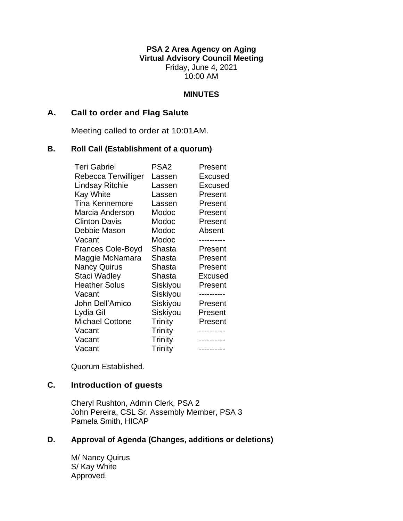**PSA 2 Area Agency on Aging Virtual Advisory Council Meeting** Friday, June 4, 2021 10:00 AM

### **MINUTES**

### **A. Call to order and Flag Salute**

Meeting called to order at 10:01AM.

### **B. Roll Call (Establishment of a quorum)**

| <b>Teri Gabriel</b>      | PSA <sub>2</sub> | Present    |
|--------------------------|------------------|------------|
| Rebecca Terwilliger      | Lassen           | Excused    |
| Lindsay Ritchie          | Lassen           | Excused    |
| <b>Kay White</b>         | Lassen           | Present    |
| <b>Tina Kennemore</b>    | Lassen           | Present    |
| Marcia Anderson          | Modoc            | Present    |
| <b>Clinton Davis</b>     | Modoc            | Present    |
| Debbie Mason             | Modoc            | Absent     |
| Vacant                   | Modoc            |            |
| <b>Frances Cole-Boyd</b> | Shasta           | Present    |
| Maggie McNamara          | Shasta           | Present    |
| <b>Nancy Quirus</b>      | Shasta           | Present    |
| Staci Wadley             | Shasta           | Excused    |
| <b>Heather Solus</b>     | Siskiyou         | Present    |
| Vacant                   | Siskiyou         |            |
| John Dell'Amico          | Siskiyou         | Present    |
| Lydia Gil                | Siskiyou         | Present    |
| <b>Michael Cottone</b>   | Trinity          | Present    |
| Vacant                   | Trinity          |            |
| Vacant                   | Trinity          |            |
| Vacant                   | Trinity          | ---------- |

Quorum Established.

# **C. Introduction of guests**

Cheryl Rushton, Admin Clerk, PSA 2 John Pereira, CSL Sr. Assembly Member, PSA 3 Pamela Smith, HICAP

# **D. Approval of Agenda (Changes, additions or deletions)**

M/ Nancy Quirus S/ Kay White Approved.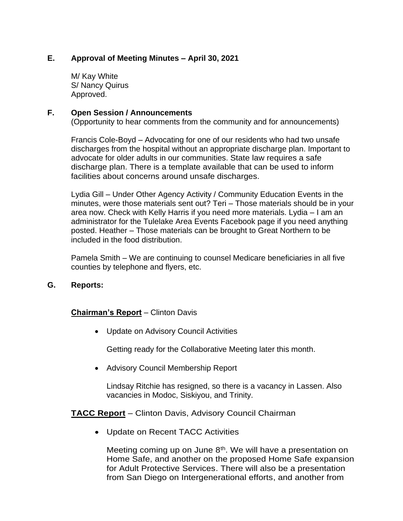# **E. Approval of Meeting Minutes – April 30, 2021**

M/ Kay White S/ Nancy Quirus Approved.

### **F. Open Session / Announcements**

(Opportunity to hear comments from the community and for announcements)

Francis Cole-Boyd – Advocating for one of our residents who had two unsafe discharges from the hospital without an appropriate discharge plan. Important to advocate for older adults in our communities. State law requires a safe discharge plan. There is a template available that can be used to inform facilities about concerns around unsafe discharges.

Lydia Gill – Under Other Agency Activity / Community Education Events in the minutes, were those materials sent out? Teri – Those materials should be in your area now. Check with Kelly Harris if you need more materials. Lydia – I am an administrator for the Tulelake Area Events Facebook page if you need anything posted. Heather – Those materials can be brought to Great Northern to be included in the food distribution.

Pamela Smith – We are continuing to counsel Medicare beneficiaries in all five counties by telephone and flyers, etc.

### **G. Reports:**

# **Chairman's Report** – Clinton Davis

• Update on Advisory Council Activities

Getting ready for the Collaborative Meeting later this month.

• Advisory Council Membership Report

Lindsay Ritchie has resigned, so there is a vacancy in Lassen. Also vacancies in Modoc, Siskiyou, and Trinity.

#### **TACC Report** – Clinton Davis, Advisory Council Chairman

• Update on Recent TACC Activities

Meeting coming up on June  $8<sup>th</sup>$ . We will have a presentation on Home Safe, and another on the proposed Home Safe expansion for Adult Protective Services. There will also be a presentation from San Diego on Intergenerational efforts, and another from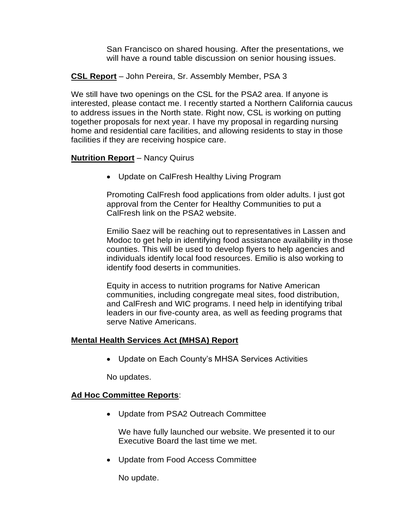San Francisco on shared housing. After the presentations, we will have a round table discussion on senior housing issues.

**CSL Report** – John Pereira, Sr. Assembly Member, PSA 3

We still have two openings on the CSL for the PSA2 area. If anyone is interested, please contact me. I recently started a Northern California caucus to address issues in the North state. Right now, CSL is working on putting together proposals for next year. I have my proposal in regarding nursing home and residential care facilities, and allowing residents to stay in those facilities if they are receiving hospice care.

### **Nutrition Report** – Nancy Quirus

• Update on CalFresh Healthy Living Program

Promoting CalFresh food applications from older adults. I just got approval from the Center for Healthy Communities to put a CalFresh link on the PSA2 website.

Emilio Saez will be reaching out to representatives in Lassen and Modoc to get help in identifying food assistance availability in those counties. This will be used to develop flyers to help agencies and individuals identify local food resources. Emilio is also working to identify food deserts in communities.

Equity in access to nutrition programs for Native American communities, including congregate meal sites, food distribution, and CalFresh and WIC programs. I need help in identifying tribal leaders in our five-county area, as well as feeding programs that serve Native Americans.

# **Mental Health Services Act (MHSA) Report**

• Update on Each County's MHSA Services Activities

No updates.

# **Ad Hoc Committee Reports**:

• Update from PSA2 Outreach Committee

We have fully launched our website. We presented it to our Executive Board the last time we met.

• Update from Food Access Committee

No update.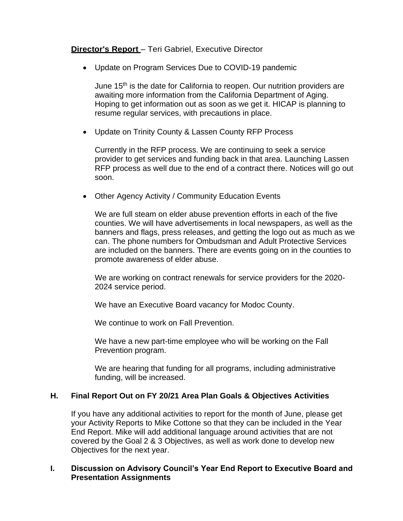# **Director's Report** – Teri Gabriel, Executive Director

• Update on Program Services Due to COVID-19 pandemic

June 15<sup>th</sup> is the date for California to reopen. Our nutrition providers are awaiting more information from the California Department of Aging. Hoping to get information out as soon as we get it. HICAP is planning to resume regular services, with precautions in place.

• Update on Trinity County & Lassen County RFP Process

Currently in the RFP process. We are continuing to seek a service provider to get services and funding back in that area. Launching Lassen RFP process as well due to the end of a contract there. Notices will go out soon.

• Other Agency Activity / Community Education Events

We are full steam on elder abuse prevention efforts in each of the five counties. We will have advertisements in local newspapers, as well as the banners and flags, press releases, and getting the logo out as much as we can. The phone numbers for Ombudsman and Adult Protective Services are included on the banners. There are events going on in the counties to promote awareness of elder abuse.

We are working on contract renewals for service providers for the 2020- 2024 service period.

We have an Executive Board vacancy for Modoc County.

We continue to work on Fall Prevention.

We have a new part-time employee who will be working on the Fall Prevention program.

We are hearing that funding for all programs, including administrative funding, will be increased.

# **H. Final Report Out on FY 20/21 Area Plan Goals & Objectives Activities**

If you have any additional activities to report for the month of June, please get your Activity Reports to Mike Cottone so that they can be included in the Year End Report. Mike will add additional language around activities that are not covered by the Goal 2 & 3 Objectives, as well as work done to develop new Objectives for the next year.

### **I. Discussion on Advisory Council's Year End Report to Executive Board and Presentation Assignments**